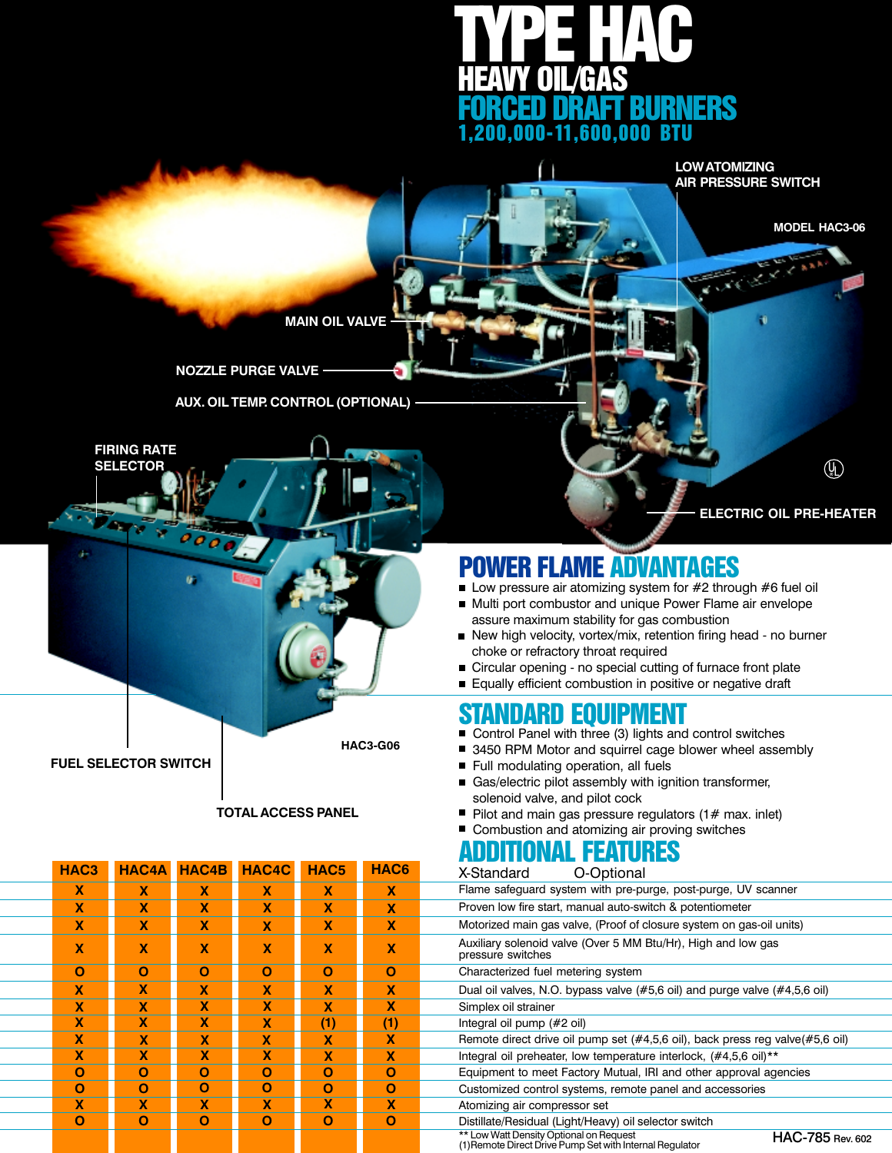

**LOW ATOMIZING AIR PRESSURE SWITCH**

**MAIN OIL VALVE**

**NOZZLE PURGE VALVE**

**AUX. OIL TEMP. CONTROL (OPTIONAL)**



#### **TOTAL ACCESS PANEL**

| HAC <sub>3</sub> |   |             | <b>HAC4A HAC4B HAC4C</b> | HAC <sub>5</sub> | HAC6                      |  |
|------------------|---|-------------|--------------------------|------------------|---------------------------|--|
| $\mathbf{x}$     | X | <b>X</b>    | X                        | X                | $\mathbf{x}$              |  |
| X                | X | X           | X                        | X                | X                         |  |
| X                | X | $\mathbf x$ | X                        | X                | $\mathbf x$               |  |
| X                | X | X           | X                        | X                | X                         |  |
| O                | O | O           | O                        | O                | O                         |  |
| X                | X | X           | X                        | X                | X                         |  |
| X                | X | X           | X                        | X                | X                         |  |
| X                | X | X           | X                        | (1)              | (1)                       |  |
| X                | X | $\mathbf x$ | X                        | X                | X                         |  |
| $\mathbf x$      | X | $\mathbf x$ | X                        | X                | $\boldsymbol{\mathsf{x}}$ |  |
| O                | Ο | Ο           | O                        | O                | O                         |  |
| Ο                | O | Ο           | O                        | O                | Ο                         |  |
| X                | X | X           | X                        | X                | $\mathbf x$               |  |
| O                | Ο | Ο           | O                        | Ο                | O                         |  |
|                  |   |             |                          |                  |                           |  |

 $\mathbb Q$ 

**MODEL HAC3-06**

**ELECTRIC OIL PRE-HEATER**

# POWER FLAME ADVANTAGES

- Low pressure air atomizing system for #2 through #6 fuel oil
- Multi port combustor and unique Power Flame air envelope assure maximum stability for gas combustion
- New high velocity, vortex/mix, retention firing head no burner choke or refractory throat required
- Circular opening no special cutting of furnace front plate
- Equally efficient combustion in positive or negative draft

## STANDARD EQUIPMENT

- Control Panel with three (3) lights and control switches
- 3450 RPM Motor and squirrel cage blower wheel assembly
- Full modulating operation, all fuels
- Gas/electric pilot assembly with ignition transformer, solenoid valve, and pilot cock
- Pilot and main gas pressure regulators  $(1# max.$  inlet)
- Combustion and atomizing air proving switches

#### **ADDITIONAL FEATURES**<br>X-Standard O-Optional O-Optional

| Flame safeguard system with pre-purge, post-purge, UV scanner                                                           |
|-------------------------------------------------------------------------------------------------------------------------|
| Proven low fire start, manual auto-switch & potentiometer                                                               |
| Motorized main gas valve, (Proof of closure system on gas-oil units)                                                    |
| Auxiliary solenoid valve (Over 5 MM Btu/Hr), High and low gas<br>pressure switches                                      |
| Characterized fuel metering system                                                                                      |
| Dual oil valves, N.O. bypass valve (#5,6 oil) and purge valve (#4,5,6 oil)                                              |
| Simplex oil strainer                                                                                                    |
| Integral oil pump (#2 oil)                                                                                              |
| Remote direct drive oil pump set (#4,5,6 oil), back press reg valve(#5,6 oil)                                           |
| Integral oil preheater, low temperature interlock, (#4,5,6 oil)**                                                       |
| Equipment to meet Factory Mutual, IRI and other approval agencies                                                       |
| Customized control systems, remote panel and accessories                                                                |
| Atomizing air compressor set                                                                                            |
| Distillate/Residual (Light/Heavy) oil selector switch                                                                   |
| ** Low Watt Density Optional on Request<br>HAC-785 Rev. 602<br>(1) Remote Direct Drive Pump Set with Internal Regulator |